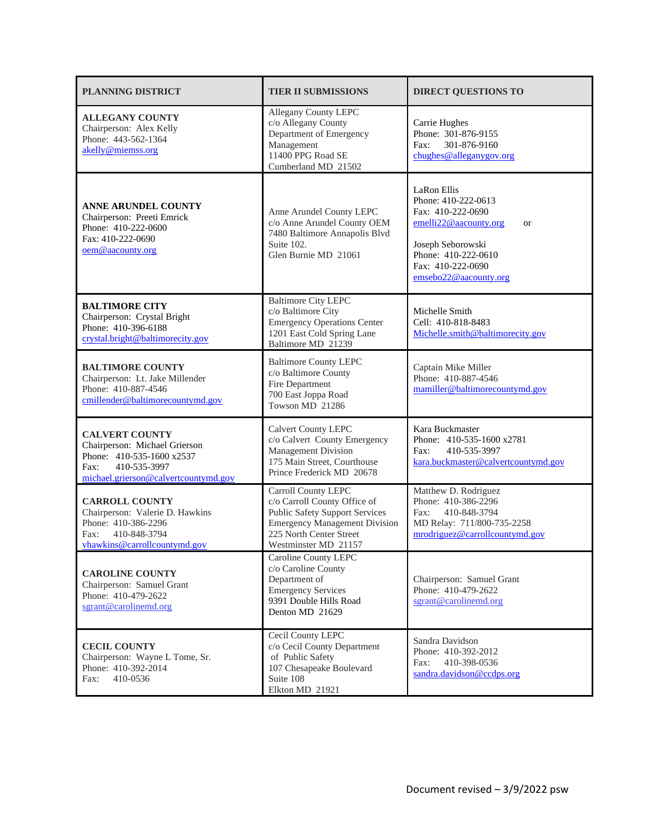| <b>PLANNING DISTRICT</b>                                                                                                                            | <b>TIER II SUBMISSIONS</b>                                                                                                                                                              | <b>DIRECT QUESTIONS TO</b>                                                                                                                                                              |
|-----------------------------------------------------------------------------------------------------------------------------------------------------|-----------------------------------------------------------------------------------------------------------------------------------------------------------------------------------------|-----------------------------------------------------------------------------------------------------------------------------------------------------------------------------------------|
| <b>ALLEGANY COUNTY</b><br>Chairperson: Alex Kelly<br>Phone: 443-562-1364<br>akelly@miemss.org                                                       | Allegany County LEPC<br>c/o Allegany County<br>Department of Emergency<br>Management<br>11400 PPG Road SE<br>Cumberland MD 21502                                                        | Carrie Hughes<br>Phone: 301-876-9155<br>301-876-9160<br>Fax:<br>chughes@alleganygov.org                                                                                                 |
| <b>ANNE ARUNDEL COUNTY</b><br>Chairperson: Preeti Emrick<br>Phone: 410-222-0600<br>Fax: 410-222-0690<br>oem@aacounty.org                            | Anne Arundel County LEPC<br>c/o Anne Arundel County OEM<br>7480 Baltimore Annapolis Blvd<br>Suite 102.<br>Glen Burnie MD 21061                                                          | LaRon Ellis<br>Phone: 410-222-0613<br>Fax: 410-222-0690<br>emelli22@aacounty.org<br><b>or</b><br>Joseph Seborowski<br>Phone: 410-222-0610<br>Fax: 410-222-0690<br>emsebo22@aacounty.org |
| <b>BALTIMORE CITY</b><br>Chairperson: Crystal Bright<br>Phone: 410-396-6188<br>crystal.bright@baltimorecity.gov                                     | <b>Baltimore City LEPC</b><br>c/o Baltimore City<br><b>Emergency Operations Center</b><br>1201 East Cold Spring Lane<br>Baltimore MD 21239                                              | Michelle Smith<br>Cell: 410-818-8483<br>Michelle.smith@baltimorecity.gov                                                                                                                |
| <b>BALTIMORE COUNTY</b><br>Chairperson: Lt. Jake Millender<br>Phone: 410-887-4546<br>cmillender@baltimorecountymd.gov                               | <b>Baltimore County LEPC</b><br>c/o Baltimore County<br>Fire Department<br>700 East Joppa Road<br>Towson MD 21286                                                                       | Captain Mike Miller<br>Phone: 410-887-4546<br>mamiller@baltimorecountymd.gov                                                                                                            |
| <b>CALVERT COUNTY</b><br>Chairperson: Michael Grierson<br>Phone: 410-535-1600 x2537<br>410-535-3997<br>Fax:<br>michael.grierson@calvertcountymd.gov | <b>Calvert County LEPC</b><br>c/o Calvert County Emergency<br>Management Division<br>175 Main Street, Courthouse<br>Prince Frederick MD 20678                                           | Kara Buckmaster<br>Phone: 410-535-1600 x2781<br>Fax:<br>410-535-3997<br>kara.buckmaster@calvertcountymd.gov                                                                             |
| <b>CARROLL COUNTY</b><br>Chairperson: Valerie D. Hawkins<br>Phone: 410-386-2296<br>410-848-3794<br>Fax:<br>vhawkins@carrollcountymd.gov             | Carroll County LEPC<br>c/o Carroll County Office of<br><b>Public Safety Support Services</b><br><b>Emergency Management Division</b><br>225 North Center Street<br>Westminster MD 21157 | Matthew D. Rodriguez<br>Phone: 410-386-2296<br>Fax:<br>410-848-3794<br>MD Relay: 711/800-735-2258<br>mrodriguez@carrollcountymd.gov                                                     |
| <b>CAROLINE COUNTY</b><br>Chairperson: Samuel Grant<br>Phone: 410-479-2622<br>sgrant@carolinemd.org                                                 | Caroline County LEPC<br>c/o Caroline County<br>Department of<br><b>Emergency Services</b><br>9391 Double Hills Road<br>Denton MD 21629                                                  | Chairperson: Samuel Grant<br>Phone: 410-479-2622<br>sgrant@carolinemd.org                                                                                                               |
| <b>CECIL COUNTY</b><br>Chairperson: Wayne L Tome, Sr.<br>Phone: 410-392-2014<br>410-0536<br>Fax:                                                    | Cecil County LEPC<br>c/o Cecil County Department<br>of Public Safety<br>107 Chesapeake Boulevard<br>Suite 108<br>Elkton MD 21921                                                        | Sandra Davidson<br>Phone: 410-392-2012<br>Fax:<br>410-398-0536<br>sandra.davidson@ccdps.org                                                                                             |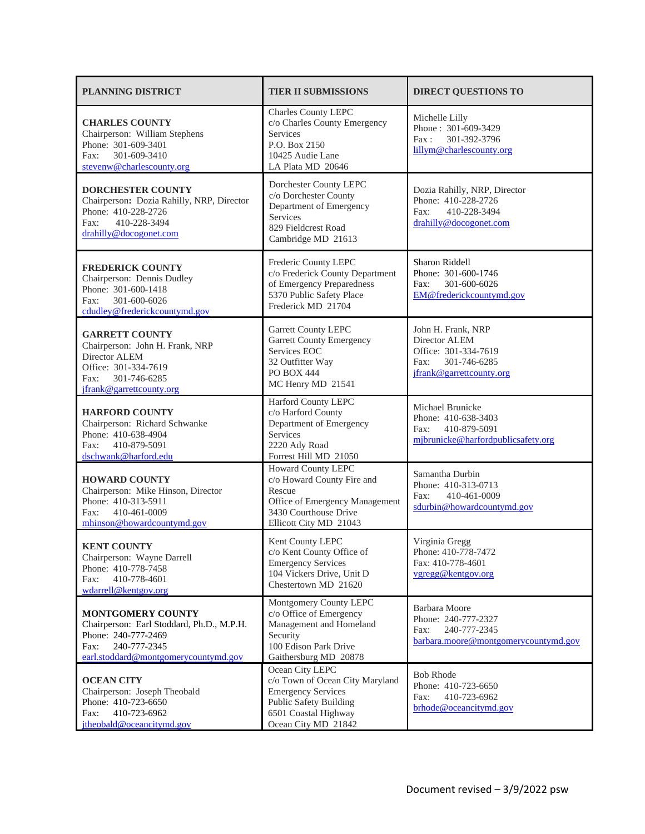| <b>PLANNING DISTRICT</b>                                                                                                                                     | <b>TIER II SUBMISSIONS</b>                                                                                                                                      | <b>DIRECT QUESTIONS TO</b>                                                                                      |
|--------------------------------------------------------------------------------------------------------------------------------------------------------------|-----------------------------------------------------------------------------------------------------------------------------------------------------------------|-----------------------------------------------------------------------------------------------------------------|
| <b>CHARLES COUNTY</b><br>Chairperson: William Stephens<br>Phone: 301-609-3401<br>301-609-3410<br>Fax:<br>stevenw@charlescounty.org                           | Charles County LEPC<br>c/o Charles County Emergency<br><b>Services</b><br>P.O. Box 2150<br>10425 Audie Lane<br>LA Plata MD 20646                                | Michelle Lilly<br>Phone: 301-609-3429<br>Fax:<br>301-392-3796<br>lillym@charlescounty.org                       |
| <b>DORCHESTER COUNTY</b><br>Chairperson: Dozia Rahilly, NRP, Director<br>Phone: 410-228-2726<br>410-228-3494<br>Fax:<br>drahilly@docogonet.com               | Dorchester County LEPC<br>c/o Dorchester County<br>Department of Emergency<br>Services<br>829 Fieldcrest Road<br>Cambridge MD 21613                             | Dozia Rahilly, NRP, Director<br>Phone: 410-228-2726<br>Fax:<br>410-228-3494<br>drahilly@docogonet.com           |
| <b>FREDERICK COUNTY</b><br>Chairperson: Dennis Dudley<br>Phone: 301-600-1418<br>301-600-6026<br>Fax:<br>cdudley@frederickcountymd.gov                        | Frederic County LEPC<br>c/o Frederick County Department<br>of Emergency Preparedness<br>5370 Public Safety Place<br>Frederick MD 21704                          | Sharon Riddell<br>Phone: 301-600-1746<br>301-600-6026<br>Fax:<br>EM@frederickcountymd.gov                       |
| <b>GARRETT COUNTY</b><br>Chairperson: John H. Frank, NRP<br>Director ALEM<br>Office: 301-334-7619<br>Fax:<br>301-746-6285<br>jfrank@garrettcounty.org        | <b>Garrett County LEPC</b><br><b>Garrett County Emergency</b><br>Services EOC<br>32 Outfitter Way<br><b>PO BOX 444</b><br>MC Henry MD 21541                     | John H. Frank, NRP<br>Director ALEM<br>Office: 301-334-7619<br>301-746-6285<br>Fax:<br>jfrank@garrettcounty.org |
| <b>HARFORD COUNTY</b><br>Chairperson: Richard Schwanke<br>Phone: 410-638-4904<br>410-879-5091<br>Fax:<br>dschwank@harford.edu                                | Harford County LEPC<br>c/o Harford County<br>Department of Emergency<br>Services<br>2220 Ady Road<br>Forrest Hill MD 21050                                      | Michael Brunicke<br>Phone: 410-638-3403<br>410-879-5091<br>Fax:<br>mjbrunicke@harfordpublicsafety.org           |
| <b>HOWARD COUNTY</b><br>Chairperson: Mike Hinson, Director<br>Phone: 410-313-5911<br>410-461-0009<br>Fax:<br>mhinson@howardcountymd.gov                      | Howard County LEPC<br>c/o Howard County Fire and<br>Rescue<br>Office of Emergency Management<br>3430 Courthouse Drive<br>Ellicott City MD 21043                 | Samantha Durbin<br>Phone: 410-313-0713<br>Fax:<br>410-461-0009<br>sdurbin@howardcountymd.gov                    |
| <b>KENT COUNTY</b><br>Chairperson: Wayne Darrell<br>Phone: 410-778-7458<br>410-778-4601<br>Fax:<br>wdarrell@kentgov.org                                      | Kent County LEPC<br>c/o Kent County Office of<br><b>Emergency Services</b><br>104 Vickers Drive, Unit D<br>Chestertown MD 21620                                 | Virginia Gregg<br>Phone: 410-778-7472<br>Fax: 410-778-4601<br>vgregg@kentgov.org                                |
| <b>MONTGOMERY COUNTY</b><br>Chairperson: Earl Stoddard, Ph.D., M.P.H.<br>Phone: 240-777-2469<br>240-777-2345<br>Fax:<br>earl.stoddard@montgomerycountymd.gov | Montgomery County LEPC<br>c/o Office of Emergency<br>Management and Homeland<br>Security<br>100 Edison Park Drive<br>Gaithersburg MD 20878                      | Barbara Moore<br>Phone: 240-777-2327<br>240-777-2345<br>Fax:<br>barbara.moore@montgomerycountymd.gov            |
| <b>OCEAN CITY</b><br>Chairperson: Joseph Theobald<br>Phone: 410-723-6650<br>410-723-6962<br>Fax:<br>itheobald@oceancitymd.gov                                | Ocean City LEPC<br>c/o Town of Ocean City Maryland<br><b>Emergency Services</b><br><b>Public Safety Building</b><br>6501 Coastal Highway<br>Ocean City MD 21842 | <b>Bob Rhode</b><br>Phone: 410-723-6650<br>410-723-6962<br>Fax:<br>brhode@oceancitymd.gov                       |